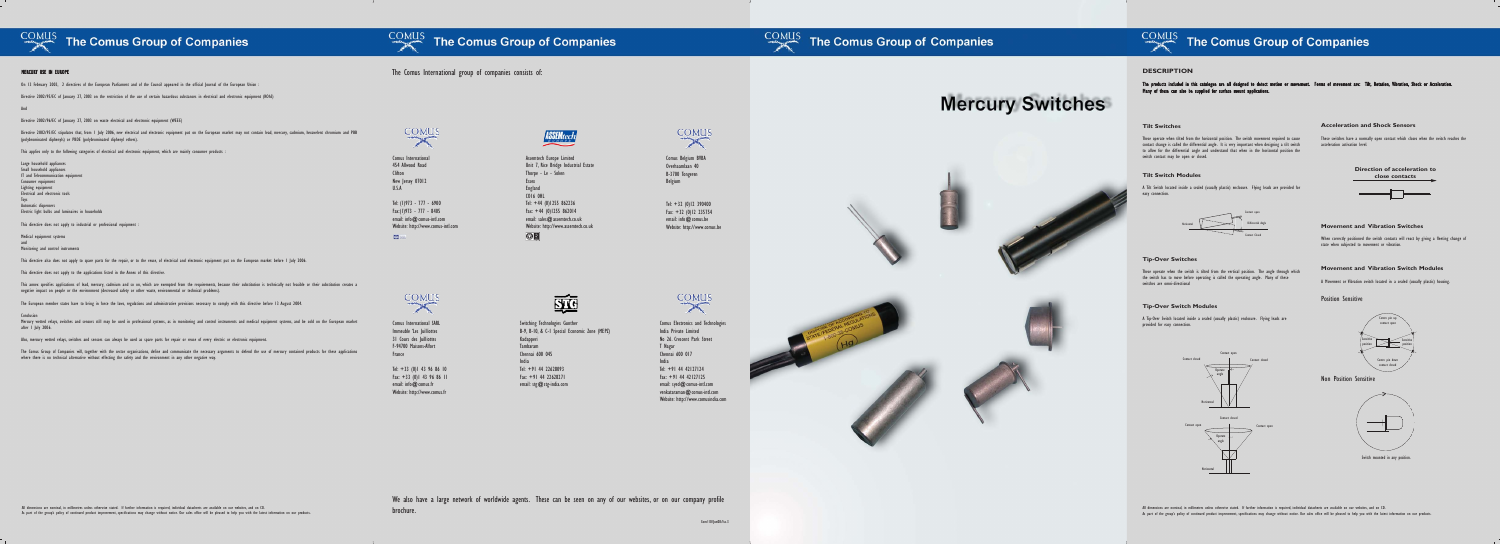

### The Comus Group of Companies

The Comus International group of companies consists of:

## **Mercury Switches**

### ASSEMtech

Tel:  $+44$  (0)1255 862236 Fax:  $+44$  (0)1255 862014 email: sales@assemtech.co.uk Website: http://www.assemtech.co.uk





Comus International 454 Allwood Road Clifton New Jersey 07012 U.S.A

> Tel:  $+32$  (0)12 390400 Fax: +32 (0)12 235754 email: info@comus.be Website: http://www.comus.be

Tel: (1)973 - 777 - 6900 Fax:(1)973 - 777 - 8405 email: info@comus-intl.com Website: http://www.comus-intl.com

 $\overline{180}$ 



Tel:  $+33$  (0)1 43 96 86 10 Fax: +33 (0)1 43 96 86 11 email: info@comus.fr Website: http://www.comus.fr



Assemtech Europe Limited Unit 7, Rice Bridge Industrial Estate

Thorpe - Le - Soken

Essex England CO16 0HL

 $O<sup>2</sup>$ 

When correctly positioned the switch contacts will react by giving a fleeting change of state when subjected to movement or vibration.

Comus Belgium BVBA Overhaamlaan 40 B-3700 Tongeren Belgium

Comus International SARL Immeuble 'Les Juilliottes 31 Cours des Juilliottes F-94700 Maisons-Alfort France

The products included in this catalogue are all designed to detect motion or movement. Forms of movement are: Tilt, Rotation, Vibration, Shock or Acceleration i l l l i i . : i l .<br>, i , i i , l i . Many of these can also be supplied for surface mount applications l l i l i i .

Switching Technologies Gunther B-9, B-10, & C-1 Special Economic Zone (MEPZ) Kadapperi Tambaram Chennai 600 045 India Tel: +91 44 22628093 Fax: +91 44 22628271 email: stg@stg-india.com

All dimensions are nominal, in millimetres unless otherwise stated. If further information is required, individual datasheets are available on our websites, and on CD. As part of the group's policy of continued product improvement, specifications may change without notice. Our sales office will be pleased to help you with the latest information on our products.

We also have a large network of worldwide agents. These can be seen on any of our websites, or on our company profile brochure.

#### COMUS The Comus Group of Companies

Com/10/Jun08/Iss.3

### COMUS The Comus Group of Companies

#### **Movement and Vibration Switches**

#### **DESCRIPTION**

#### MERCURY USE IN EUROPE I

#### **Tilt Switches**

Directive 2002/95/EC stipulates that, from 1 July 2006, new electrical and electronic equipment put on the European market may not contain lead, mercury, cadmium, hexavelent chromium and PBB (polybrominated diphenyls) or PBDE (polybrominated diphenyl ethers).

This applies only to the following categories of electrical and electronic equipment, which are mainly consumer products

These operate when tilted from the horizontal position. The switch movement required to cause contact change is called the differential angle. It is very important when designing a tilt switch to allow for the differential angle and understand that when in the horizontal position the switch contact may be open or closed.

#### **Tilt Switch Modules**

Mercury wetted relays, switches and sensors still may be used in professional systems, as in monitoring and control instruments and medical equipment systems, and be sold on the European market after 1 July 2006.

A Tilt Switch located inside a sealed (usually plastic) enclosure. Flying leads are provided for easy connection.

#### **Tip-Over Switches**

These operate when the switch is tilted from the vertical position. The angle through which the switch has to move before operating is called the operating angle. Many of these switches are omni-directional

#### **Tip-Over Switch Modules**

A Tip-Over Switch located inside a sealed (usually plastic) enclosure. Flying leads are provided for easy connection.

#### **Acceleration and Shock Sensors**

These switches have a normally open contact which closes when the switch reaches the acceleration activation level.

#### **Movement and Vibration Switch Modules**

A Movement or Vibration switch located in a sealed (usually plastic) housing.









#### Position Sensitive

#### Non Position Sensitive



Switch mounted in any position.

On 13 February 2003, 2 directives of the European Parliament and of the Council appeared in the official Journal of the European Union :

Directive 2002/95/EC of January 27, 2003 on the restriction of the use of certain hazardous substances in electrical and electronic equipment (ROhS)

And

Directive 2002/96/EC of January 27, 2003 on waste electrical and electronic equipment (WEEE)

Large household appliances Small household appliances IT and Telecommunication equipment Consumer equipment Lighting equipment Electrical and electronic tools Toys Automatic dispensers Electric light bulbs and luminaires in households

This directive does not apply to industrial or professional equipment

Medical equipment systems and Monitoring and control instruments

This directive also does not apply to spare parts for the repair, or to the reuse, of electrical and electronic equipment put on the European market before 1 July 2006.

This directive does not apply to the applications listed in the Annex of this directive.

This annex specifies applications of lead, mercury, cadmium and so on, which are exempted from the requirements, because their substitution is technically not feasible or their substitution creates a negative impact on people or the environment (decreased safety or other waste, environmental or technical problems).

The European member states have to bring in force the laws, regulations and administrative provisions necessary to comply with this directive before 13 August 2004.

Conclusion

Also, mercury wetted relays, switches and sensors can always be used as spare parts for repair or reuse of every electric or electronic equipment.

The Comus Group of Companies will, together with the sector organisations, define and communicate the necessary arguments to defend the use of mercury contained products for these applications where there is no technical alternative without effecting the safety and the environment in any other negative way.



Comus Electronics and Technologies

**COMUS** 

 $\rightarrow$ 

India Private Limited No 26. Crescent Park Street

T Nagar Chennai 600 017

India



Tel: +91 44 42127124 Fax: +91 44 42127125 email: syed@comus-intl.com venkataraman@comus-intl.com Website: http://www.comusindia.com